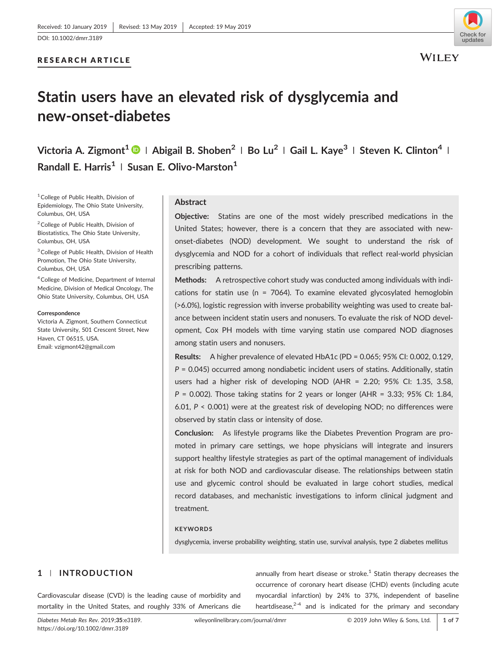# RESEARCH ARTICLE



**WILEY** 

# **Statin users have an elevated risk of dysglycemia and new‐onset‐diabetes**

**Victoria A. Zigmont1 <sup>|</sup> Abigail B. Shoben<sup>2</sup> <sup>|</sup> Bo Lu<sup>2</sup> <sup>|</sup> Gail L. Kaye3 <sup>|</sup> Steven K. Clinton4 <sup>|</sup> Randall E. Harris1 <sup>|</sup> Susan E. Olivo‐Marston1**

<sup>1</sup> College of Public Health, Division of Epidemiology, The Ohio State University, Columbus, OH, USA

<sup>2</sup> College of Public Health, Division of Biostatistics, The Ohio State University, Columbus, OH, USA

3College of Public Health, Division of Health Promotion, The Ohio State University, Columbus, OH, USA

4College of Medicine, Department of Internal Medicine, Division of Medical Oncology, The Ohio State University, Columbus, OH, USA

#### **Correspondence**

Victoria A. Zigmont, Southern Connecticut State University, 501 Crescent Street, New Haven, CT 06515, USA. Email: vzigmont42@gmail.com

# **Abstract**

**Objective:** Statins are one of the most widely prescribed medications in the United States; however, there is a concern that they are associated with new‐ onset‐diabetes (NOD) development. We sought to understand the risk of dysglycemia and NOD for a cohort of individuals that reflect real‐world physician prescribing patterns.

**Methods:** A retrospective cohort study was conducted among individuals with indications for statin use ( $n = 7064$ ). To examine elevated glycosylated hemoglobin (>6.0%), logistic regression with inverse probability weighting was used to create balance between incident statin users and nonusers. To evaluate the risk of NOD development, Cox PH models with time varying statin use compared NOD diagnoses among statin users and nonusers.

**Results:** A higher prevalence of elevated HbA1c (PD = 0.065; 95% CI: 0.002, 0.129, *P* = 0.045) occurred among nondiabetic incident users of statins. Additionally, statin users had a higher risk of developing NOD (AHR = 2.20; 95% CI: 1.35, 3.58, *P* = 0.002). Those taking statins for 2 years or longer (AHR = 3.33; 95% CI: 1.84, 6.01, *P* < 0.001) were at the greatest risk of developing NOD; no differences were observed by statin class or intensity of dose.

**Conclusion:** As lifestyle programs like the Diabetes Prevention Program are promoted in primary care settings, we hope physicians will integrate and insurers support healthy lifestyle strategies as part of the optimal management of individuals at risk for both NOD and cardiovascular disease. The relationships between statin use and glycemic control should be evaluated in large cohort studies, medical record databases, and mechanistic investigations to inform clinical judgment and treatment.

# **KEYWORDS**

dysglycemia, inverse probability weighting, statin use, survival analysis, type 2 diabetes mellitus

# **1** | **INTRODUCTION**

Cardiovascular disease (CVD) is the leading cause of morbidity and mortality in the United States, and roughly 33% of Americans die

*Diabetes Metab Res Rev*. 2019;**35**":e3189. <https://doi.org/10.1002/dmrr.3189>

annually from heart disease or stroke. $1$  Statin therapy decreases the occurrence of coronary heart disease (CHD) events (including acute myocardial infarction) by 24% to 37%, independent of baseline heartdisease, $2-4$  and is indicated for the primary and secondary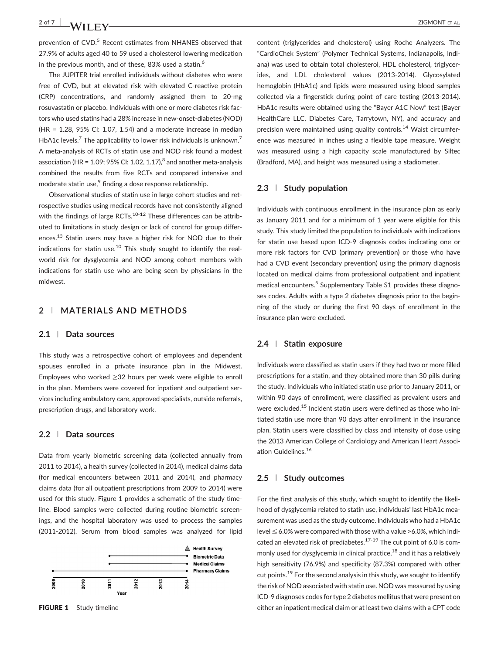prevention of CVD.<sup>5</sup> Recent estimates from NHANES observed that 27.9% of adults aged 40 to 59 used a cholesterol lowering medication in the previous month, and of these, 83% used a statin.<sup>6</sup>

The JUPITER trial enrolled individuals without diabetes who were free of CVD, but at elevated risk with elevated C-reactive protein (CRP) concentrations, and randomly assigned them to 20‐mg rosuvastatin or placebo. Individuals with one or more diabetes risk factors who used statins had a 28% increase in new‐onset‐diabetes (NOD) (HR = 1.28, 95% CI: 1.07, 1.54) and a moderate increase in median HbA1c levels.<sup>7</sup> The applicability to lower risk individuals is unknown.<sup>7</sup> A meta‐analysis of RCTs of statin use and NOD risk found a modest association (HR =  $1.09$ ; 95% CI: 1.02, 1.17), $^8$  and another meta-analysis combined the results from five RCTs and compared intensive and moderate statin use,<sup>9</sup> finding a dose response relationship.

Observational studies of statin use in large cohort studies and retrospective studies using medical records have not consistently aligned with the findings of large RCTs. $10-12$  These differences can be attributed to limitations in study design or lack of control for group differences.<sup>13</sup> Statin users may have a higher risk for NOD due to their indications for statin use.<sup>10</sup> This study sought to identify the realworld risk for dysglycemia and NOD among cohort members with indications for statin use who are being seen by physicians in the midwest.

# **2** | **MATERIALS AND METHODS**

## **2.1** | **Data sources**

This study was a retrospective cohort of employees and dependent spouses enrolled in a private insurance plan in the Midwest. Employees who worked ≥32 hours per week were eligible to enroll in the plan. Members were covered for inpatient and outpatient services including ambulatory care, approved specialists, outside referrals, prescription drugs, and laboratory work.

#### **2.2** | **Data sources**

Data from yearly biometric screening data (collected annually from 2011 to 2014), a health survey (collected in 2014), medical claims data (for medical encounters between 2011 and 2014), and pharmacy claims data (for all outpatient prescriptions from 2009 to 2014) were used for this study. Figure 1 provides a schematic of the study timeline. Blood samples were collected during routine biometric screenings, and the hospital laboratory was used to process the samples (2011‐2012). Serum from blood samples was analyzed for lipid



content (triglycerides and cholesterol) using Roche Analyzers. The "CardioChek System" (Polymer Technical Systems, Indianapolis, Indiana) was used to obtain total cholesterol, HDL cholesterol, triglycerides, and LDL cholesterol values (2013‐2014). Glycosylated hemoglobin (HbA1c) and lipids were measured using blood samples collected via a fingerstick during point of care testing (2013‐2014). HbA1c results were obtained using the "Bayer A1C Now" test (Bayer HealthCare LLC, Diabetes Care, Tarrytown, NY), and accuracy and precision were maintained using quality controls.<sup>14</sup> Waist circumference was measured in inches using a flexible tape measure. Weight was measured using a high capacity scale manufactured by Siltec (Bradford, MA), and height was measured using a stadiometer.

# **2.3** | **Study population**

Individuals with continuous enrollment in the insurance plan as early as January 2011 and for a minimum of 1 year were eligible for this study. This study limited the population to individuals with indications for statin use based upon ICD‐9 diagnosis codes indicating one or more risk factors for CVD (primary prevention) or those who have had a CVD event (secondary prevention) using the primary diagnosis located on medical claims from professional outpatient and inpatient medical encounters.<sup>5</sup> Supplementary Table S1 provides these diagnoses codes. Adults with a type 2 diabetes diagnosis prior to the beginning of the study or during the first 90 days of enrollment in the insurance plan were excluded.

# **2.4** | **Statin exposure**

Individuals were classified as statin users if they had two or more filled prescriptions for a statin, and they obtained more than 30 pills during the study. Individuals who initiated statin use prior to January 2011, or within 90 days of enrollment, were classified as prevalent users and were excluded.<sup>15</sup> Incident statin users were defined as those who initiated statin use more than 90 days after enrollment in the insurance plan. Statin users were classified by class and intensity of dose using the 2013 American College of Cardiology and American Heart Association Guidelines.<sup>16</sup>

## **2.5** | **Study outcomes**

For the first analysis of this study, which sought to identify the likelihood of dysglycemia related to statin use, individuals' last HbA1c measurement was used as the study outcome. Individuals who had a HbA1c level  $\leq$  6.0% were compared with those with a value >6.0%, which indicated an elevated risk of prediabetes.<sup>17-19</sup> The cut point of 6.0 is commonly used for dysglycemia in clinical practice,<sup>18</sup> and it has a relatively high sensitivity (76.9%) and specificity (87.3%) compared with other cut points.<sup>19</sup> For the second analysis in this study, we sought to identify the risk of NOD associated with statin use. NOD was measured by using ICD‐9 diagnoses codes for type 2 diabetes mellitus that were present on FIGURE 1 Study timeline **EXALC 2008** either an inpatient medical claim or at least two claims with a CPT code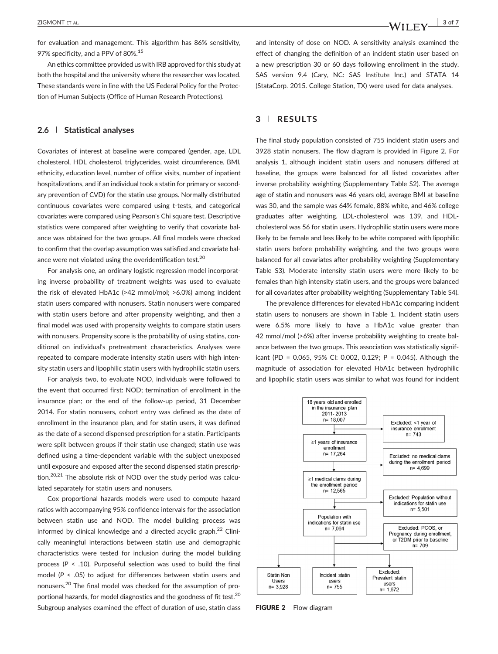for evaluation and management. This algorithm has 86% sensitivity, 97% specificity, and a PPV of 80%.<sup>15</sup>

An ethics committee provided us with IRB approved for this study at both the hospital and the university where the researcher was located. These standards were in line with the US Federal Policy for the Protection of Human Subjects (Office of Human Research Protections).

## **2.6** | **Statistical analyses**

Covariates of interest at baseline were compared (gender, age, LDL cholesterol, HDL cholesterol, triglycerides, waist circumference, BMI, ethnicity, education level, number of office visits, number of inpatient hospitalizations, and if an individual took a statin for primary or secondary prevention of CVD) for the statin use groups. Normally distributed continuous covariates were compared using t‐tests, and categorical covariates were compared using Pearson's Chi square test. Descriptive statistics were compared after weighting to verify that covariate balance was obtained for the two groups. All final models were checked to confirm that the overlap assumption was satisfied and covariate balance were not violated using the overidentification test.<sup>20</sup>

For analysis one, an ordinary logistic regression model incorporating inverse probability of treatment weights was used to evaluate the risk of elevated HbA1c (>42 mmol/mol; >6.0%) among incident statin users compared with nonusers. Statin nonusers were compared with statin users before and after propensity weighting, and then a final model was used with propensity weights to compare statin users with nonusers. Propensity score is the probability of using statins, conditional on individual's pretreatment characteristics. Analyses were repeated to compare moderate intensity statin users with high intensity statin users and lipophilic statin users with hydrophilic statin users.

For analysis two, to evaluate NOD, individuals were followed to the event that occurred first: NOD; termination of enrollment in the insurance plan; or the end of the follow‐up period, 31 December 2014. For statin nonusers, cohort entry was defined as the date of enrollment in the insurance plan, and for statin users, it was defined as the date of a second dispensed prescription for a statin. Participants were split between groups if their statin use changed; statin use was defined using a time‐dependent variable with the subject unexposed until exposure and exposed after the second dispensed statin prescription.<sup>20,21</sup> The absolute risk of NOD over the study period was calculated separately for statin users and nonusers.

Cox proportional hazards models were used to compute hazard ratios with accompanying 95% confidence intervals for the association between statin use and NOD. The model building process was informed by clinical knowledge and a directed acyclic graph.<sup>22</sup> Clinically meaningful interactions between statin use and demographic characteristics were tested for inclusion during the model building process (*P* < .10). Purposeful selection was used to build the final model (*P* < .05) to adjust for differences between statin users and nonusers.<sup>20</sup> The final model was checked for the assumption of proportional hazards, for model diagnostics and the goodness of fit test.<sup>20</sup> Subgroup analyses examined the effect of duration of use, statin class and intensity of dose on NOD. A sensitivity analysis examined the effect of changing the definition of an incident statin user based on a new prescription 30 or 60 days following enrollment in the study. SAS version 9.4 (Cary, NC: SAS Institute Inc.) and STATA 14 (StataCorp. 2015. College Station, TX) were used for data analyses.

### **3** | **RESULTS**

The final study population consisted of 755 incident statin users and 3928 statin nonusers. The flow diagram is provided in Figure 2. For analysis 1, although incident statin users and nonusers differed at baseline, the groups were balanced for all listed covariates after inverse probability weighting (Supplementary Table S2). The average age of statin and nonusers was 46 years old, average BMI at baseline was 30, and the sample was 64% female, 88% white, and 46% college graduates after weighting. LDL‐cholesterol was 139, and HDL‐ cholesterol was 56 for statin users. Hydrophilic statin users were more likely to be female and less likely to be white compared with lipophilic statin users before probability weighting, and the two groups were balanced for all covariates after probability weighting (Supplementary Table S3). Moderate intensity statin users were more likely to be females than high intensity statin users, and the groups were balanced for all covariates after probability weighting (Supplementary Table S4).

The prevalence differences for elevated HbA1c comparing incident statin users to nonusers are shown in Table 1. Incident statin users were 6.5% more likely to have a HbA1c value greater than 42 mmol/mol (>6%) after inverse probability weighting to create balance between the two groups. This association was statistically significant (PD = 0.065, 95% CI: 0.002, 0.129; P = 0.045). Although the magnitude of association for elevated HbA1c between hydrophilic and lipophilic statin users was similar to what was found for incident



FIGURE 2 Flow diagram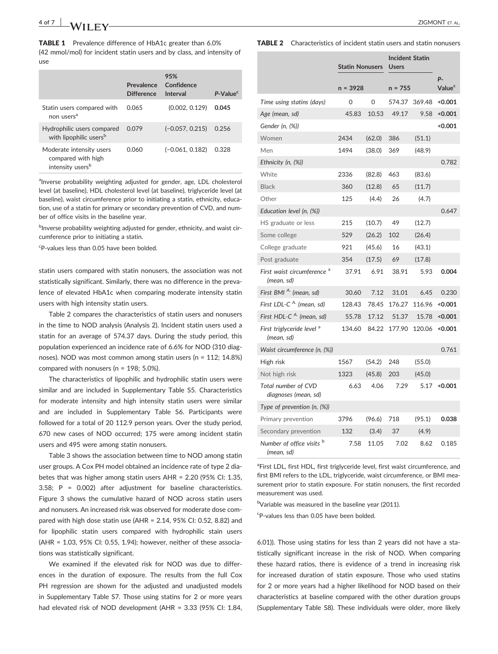TABLE 1 Prevalence difference of HbA1c greater than 6.0% (42 mmol/mol) for incident statin users and by class, and intensity of use

|                                                                                | Prevalence<br><b>Difference</b> | 95%<br>Confidence<br>Interval | P-Value <sup>c</sup> |
|--------------------------------------------------------------------------------|---------------------------------|-------------------------------|----------------------|
| Statin users compared with<br>non users <sup>a</sup>                           | 0.065                           | (0.002, 0.129)                | 0.045                |
| Hydrophilic users compared<br>with lipophilic users <sup>b</sup>               | 0.079                           | $(-0.057, 0.215)$             | 0.256                |
| Moderate intensity users<br>compared with high<br>intensity users <sup>b</sup> | 0.060                           | $(-0.061, 0.182)$             | 0.328                |

alnverse probability weighting adjusted for gender, age, LDL cholesterol level (at baseline), HDL cholesterol level (at baseline), triglyceride level (at baseline), waist circumference prior to initiating a statin, ethnicity, education, use of a statin for primary or secondary prevention of CVD, and number of office visits in the baseline year.

<sup>b</sup>Inverse probability weighting adjusted for gender, ethnicity, and waist circumference prior to initiating a statin.

c P‐values less than 0.05 have been bolded.

statin users compared with statin nonusers, the association was not statistically significant. Similarly, there was no difference in the prevalence of elevated HbA1c when comparing moderate intensity statin users with high intensity statin users.

Table 2 compares the characteristics of statin users and nonusers in the time to NOD analysis (Analysis 2). Incident statin users used a statin for an average of 574.37 days. During the study period, this population experienced an incidence rate of 6.6% for NOD (310 diagnoses). NOD was most common among statin users (n = 112; 14.8%) compared with nonusers (n = 198; 5.0%).

The characteristics of lipophilic and hydrophilic statin users were similar and are included in Supplementary Table S5. Characteristics for moderate intensity and high intensity statin users were similar and are included in Supplementary Table S6. Participants were followed for a total of 20 112.9 person years. Over the study period, 670 new cases of NOD occurred; 175 were among incident statin users and 495 were among statin nonusers.

Table 3 shows the association between time to NOD among statin user groups. A Cox PH model obtained an incidence rate of type 2 diabetes that was higher among statin users AHR = 2.20 (95% CI: 1.35, 3.58; P = 0.002) after adjustment for baseline characteristics. Figure 3 shows the cumulative hazard of NOD across statin users and nonusers. An increased risk was observed for moderate dose compared with high dose statin use (AHR = 2.14, 95% CI: 0.52, 8.82) and for lipophilic statin users compared with hydrophilic stain users (AHR = 1.03, 95% CI: 0.55, 1.94); however, neither of these associations was statistically significant.

We examined if the elevated risk for NOD was due to differences in the duration of exposure. The results from the full Cox PH regression are shown for the adjusted and unadjusted models in Supplementary Table S7. Those using statins for 2 or more years had elevated risk of NOD development (AHR = 3.33 (95% CI: 1.84, TABLE 2 Characteristics of incident statin users and statin nonusers

|                                                      | <b>Statin Nonusers</b><br>$n = 3928$ |        | <b>Incident Statin</b><br><b>Users</b><br>$n = 755$ |        |                          |
|------------------------------------------------------|--------------------------------------|--------|-----------------------------------------------------|--------|--------------------------|
|                                                      |                                      |        |                                                     |        | p.<br>Value <sup>c</sup> |
| Time using statins (days)                            | 0                                    | 0      | 574.37                                              | 369.48 | < 0.001                  |
| Age (mean, sd)                                       | 45.83                                | 10.53  | 49.17                                               | 9.58   | < 0.001                  |
| Gender (n, (%))                                      |                                      |        |                                                     |        | < 0.001                  |
| Women                                                | 2434                                 | (62.0) | 386                                                 | (51.1) |                          |
| Men                                                  | 1494                                 | (38.0) | 369                                                 | (48.9) |                          |
| Ethnicity (n, (%))                                   |                                      |        |                                                     |        | 0.782                    |
| White                                                | 2336                                 | (82.8) | 463                                                 | (83.6) |                          |
| <b>Black</b>                                         | 360                                  | (12.8) | 65                                                  | (11.7) |                          |
| Other                                                | 125                                  | (4.4)  | 26                                                  | (4.7)  |                          |
| Education level (n, (%))                             |                                      |        |                                                     |        | 0.647                    |
| HS graduate or less                                  | 215                                  | (10.7) | 49                                                  | (12.7) |                          |
| Some college                                         | 529                                  | (26.2) | 102                                                 | (26.4) |                          |
| College graduate                                     | 921                                  | (45.6) | 16                                                  | (43.1) |                          |
| Post graduate                                        | 354                                  | (17.5) | 69                                                  | (17.8) |                          |
| First waist circumference <sup>a</sup><br>(mean, sd) | 37.91                                | 6.91   | 38.91                                               | 5.93   | 0.004                    |
| First BMI <sup>A.</sup> (mean, sd)                   | 30.60                                | 7.12   | 31.01                                               | 6.45   | 0.230                    |
| First LDL-C <sup>A.</sup> (mean, sd)                 | 128.43                               | 78.45  | 176.27                                              | 116.96 | < 0.001                  |
| First HDL-C <sup>A.</sup> (mean, sd)                 | 55.78                                | 17.12  | 51.37                                               | 15.78  | < 0.001                  |
| First triglyceride level <sup>a</sup><br>(mean, sd)  | 134.60                               | 84.22  | 177.90                                              | 120.06 | < 0.001                  |
| Waist circumference (n, (%))                         |                                      |        |                                                     |        | 0.761                    |
| High risk                                            | 1567                                 | (54.2) | 248                                                 | (55.0) |                          |
| Not high risk                                        | 1323                                 | (45.8) | 203                                                 | (45.0) |                          |
| Total number of CVD<br>diagnoses (mean, sd)          | 6.63                                 | 4.06   | 7.29                                                | 5.17   | < 0.001                  |
| Type of prevention (n, (%))                          |                                      |        |                                                     |        |                          |
| Primary prevention                                   | 3796                                 | (96.6) | 718                                                 | (95.1) | 0.038                    |
| Secondary prevention                                 | 132                                  | (3.4)  | 37                                                  | (4.9)  |                          |
| Number of office visits <sup>b</sup><br>(mean, sd)   | 7.58                                 | 11.05  | 7.02                                                | 8.62   | 0.185                    |

<sup>a</sup>First LDL, first HDL, first triglyceride level, first waist circumference, and first BMI refers to the LDL, triglyceride, waist circumference, or BMI measurement prior to statin exposure. For statin nonusers, the first recorded measurement was used.

bVariable was measured in the baseline year (2011).

c P‐values less than 0.05 have been bolded.

6.01)). Those using statins for less than 2 years did not have a statistically significant increase in the risk of NOD. When comparing these hazard ratios, there is evidence of a trend in increasing risk for increased duration of statin exposure. Those who used statins for 2 or more years had a higher likelihood for NOD based on their characteristics at baseline compared with the other duration groups (Supplementary Table S8). These individuals were older, more likely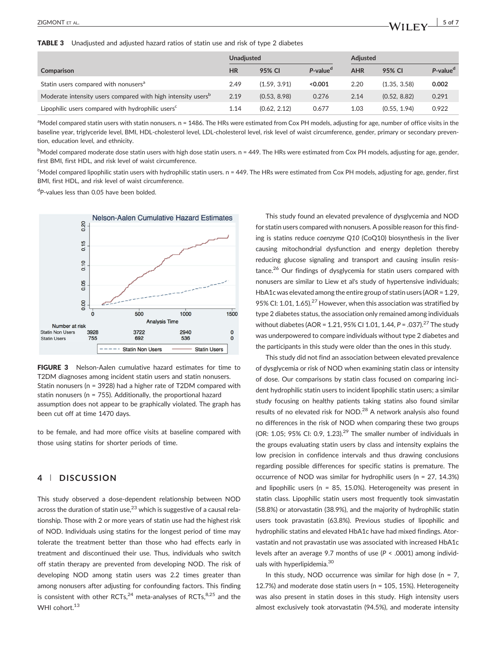TABLE 3 Unadjusted and adjusted hazard ratios of statin use and risk of type 2 diabetes

|                                                                          | <b>Unadjusted</b> |              |                      | Adjusted   |              |                      |
|--------------------------------------------------------------------------|-------------------|--------------|----------------------|------------|--------------|----------------------|
| Comparison                                                               | HR                | 95% CI       | P-value <sup>d</sup> | <b>AHR</b> | 95% CI       | P-value <sup>d</sup> |
| Statin users compared with nonusers <sup>a</sup>                         | 2.49              | (1.59, 3.91) | < 0.001              | 2.20       | (1.35, 3.58) | 0.002                |
| Moderate intensity users compared with high intensity users <sup>p</sup> | 2.19              | (0.53, 8.98) | 0.276                | 2.14       | (0.52, 8.82) | 0.291                |
| Lipophilic users compared with hydrophilic users <sup>c</sup>            | 1.14              | (0.62, 2.12) | 0.677                | 1.03       | (0.55, 1.94) | 0.922                |

<sup>a</sup>Model compared statin users with statin nonusers. n = 1486. The HRs were estimated from Cox PH models, adjusting for age, number of office visits in the baseline year, triglyceride level, BMI, HDL‐cholesterol level, LDL‐cholesterol level, risk level of waist circumference, gender, primary or secondary prevention, education level, and ethnicity.

b<br>Model compared moderate dose statin users with high dose statin users. n = 449. The HRs were estimated from Cox PH models, adjusting for age, gender, first BMI, first HDL, and risk level of waist circumference.

<sup>c</sup>Model compared lipophilic statin users with hydrophilic statin users. n = 449. The HRs were estimated from Cox PH models, adjusting for age, gender, first BMI, first HDL, and risk level of waist circumference.

<sup>d</sup>P-values less than 0.05 have been bolded.



FIGURE 3 Nelson-Aalen cumulative hazard estimates for time to T2DM diagnoses among incident statin users and statin nonusers. Statin nonusers (n = 3928) had a higher rate of T2DM compared with statin nonusers (n = 755). Additionally, the proportional hazard assumption does not appear to be graphically violated. The graph has been cut off at time 1470 days.

to be female, and had more office visits at baseline compared with those using statins for shorter periods of time.

# **4** | **DISCUSSION**

This study observed a dose‐dependent relationship between NOD across the duration of statin use, $^{23}$  which is suggestive of a causal relationship. Those with 2 or more years of statin use had the highest risk of NOD. Individuals using statins for the longest period of time may tolerate the treatment better than those who had effects early in treatment and discontinued their use. Thus, individuals who switch off statin therapy are prevented from developing NOD. The risk of developing NOD among statin users was 2.2 times greater than among nonusers after adjusting for confounding factors. This finding is consistent with other RCTs, $^{24}$  meta-analyses of RCTs, $^{8,25}$  and the WHI cohort.<sup>13</sup>

This study found an elevated prevalence of dysglycemia and NOD for statin users compared with nonusers. A possible reason for this finding is statins reduce *coenzyme Q10* (CoQ10) biosynthesis in the liver causing mitochondrial dysfunction and energy depletion thereby reducing glucose signaling and transport and causing insulin resistance.<sup>26</sup> Our findings of dysglycemia for statin users compared with nonusers are similar to Liew et al's study of hypertensive individuals; HbA1c was elevated among the entire group of statin users (AOR = 1.29, 95% CI: 1.01, 1.65).<sup>27</sup> However, when this association was stratified by type 2 diabetes status, the association only remained among individuals without diabetes (AOR = 1.21, 95% CI 1.01, 1.44, P = .037).<sup>27</sup> The study was underpowered to compare individuals without type 2 diabetes and the participants in this study were older than the ones in this study.

This study did not find an association between elevated prevalence of dysglycemia or risk of NOD when examining statin class or intensity of dose. Our comparisons by statin class focused on comparing incident hydrophilic statin users to incident lipophilic statin users; a similar study focusing on healthy patients taking statins also found similar results of no elevated risk for NOD.<sup>28</sup> A network analysis also found no differences in the risk of NOD when comparing these two groups (OR: 1.05; 95% CI: 0.9, 1.23). $^{29}$  The smaller number of individuals in the groups evaluating statin users by class and intensity explains the low precision in confidence intervals and thus drawing conclusions regarding possible differences for specific statins is premature. The occurrence of NOD was similar for hydrophilic users (n = 27, 14.3%) and lipophilic users ( $n = 85$ , 15.0%). Heterogeneity was present in statin class. Lipophilic statin users most frequently took simvastatin (58.8%) or atorvastatin (38.9%), and the majority of hydrophilic statin users took pravastatin (63.8%). Previous studies of lipophilic and hydrophilic statins and elevated HbA1c have had mixed findings. Atorvastatin and not pravastatin use was associated with increased HbA1c levels after an average 9.7 months of use (*P* < .0001) among individuals with hyperlipidemia.<sup>30</sup>

In this study, NOD occurrence was similar for high dose ( $n = 7$ , 12.7%) and moderate dose statin users (n = 105, 15%). Heterogeneity was also present in statin doses in this study. High intensity users almost exclusively took atorvastatin (94.5%), and moderate intensity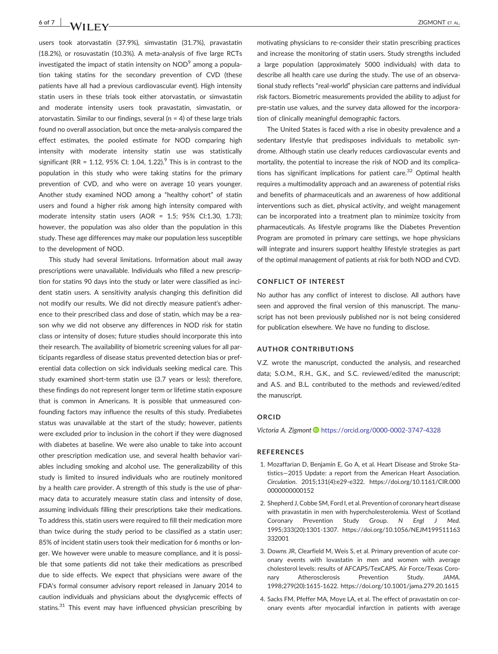users took atorvastatin (37.9%), simvastatin (31.7%), pravastatin (18.2%), or rosuvastatin (10.3%). A meta‐analysis of five large RCTs investigated the impact of statin intensity on  $NOD<sup>9</sup>$  among a population taking statins for the secondary prevention of CVD (these patients have all had a previous cardiovascular event). High intensity statin users in these trials took either atorvastatin, or simvastatin and moderate intensity users took pravastatin, simvastatin, or atorvastatin. Similar to our findings, several ( $n = 4$ ) of these large trials found no overall association, but once the meta-analysis compared the effect estimates, the pooled estimate for NOD comparing high intensity with moderate intensity statin use was statistically significant (RR = 1.12, 95% CI: 1.04, 1.22).<sup>9</sup> This is in contrast to the population in this study who were taking statins for the primary prevention of CVD, and who were on average 10 years younger. Another study examined NOD among a "healthy cohort" of statin users and found a higher risk among high intensity compared with moderate intensity statin users (AOR = 1.5; 95% CI:1.30, 1.73); however, the population was also older than the population in this study. These age differences may make our population less susceptible to the development of NOD.

This study had several limitations. Information about mail away prescriptions were unavailable. Individuals who filled a new prescription for statins 90 days into the study or later were classified as incident statin users. A sensitivity analysis changing this definition did not modify our results. We did not directly measure patient's adherence to their prescribed class and dose of statin, which may be a reason why we did not observe any differences in NOD risk for statin class or intensity of doses; future studies should incorporate this into their research. The availability of biometric screening values for all participants regardless of disease status prevented detection bias or preferential data collection on sick individuals seeking medical care. This study examined short-term statin use (3.7 years or less); therefore, these findings do not represent longer term or lifetime statin exposure that is common in Americans. It is possible that unmeasured confounding factors may influence the results of this study. Prediabetes status was unavailable at the start of the study; however, patients were excluded prior to inclusion in the cohort if they were diagnosed with diabetes at baseline. We were also unable to take into account other prescription medication use, and several health behavior variables including smoking and alcohol use. The generalizability of this study is limited to insured individuals who are routinely monitored by a health care provider. A strength of this study is the use of pharmacy data to accurately measure statin class and intensity of dose, assuming individuals filling their prescriptions take their medications. To address this, statin users were required to fill their medication more than twice during the study period to be classified as a statin user; 85% of incident statin users took their medication for 6 months or longer. We however were unable to measure compliance, and it is possible that some patients did not take their medications as prescribed due to side effects. We expect that physicians were aware of the FDA's formal consumer advisory report released in January 2014 to caution individuals and physicians about the dysglycemic effects of statins.<sup>31</sup> This event may have influenced physician prescribing by

motivating physicians to re‐consider their statin prescribing practices and increase the monitoring of statin users. Study strengths included a large population (approximately 5000 individuals) with data to describe all health care use during the study. The use of an observational study reflects "real‐world" physician care patterns and individual risk factors. Biometric measurements provided the ability to adjust for pre-statin use values, and the survey data allowed for the incorporation of clinically meaningful demographic factors.

The United States is faced with a rise in obesity prevalence and a sedentary lifestyle that predisposes individuals to metabolic syndrome. Although statin use clearly reduces cardiovascular events and mortality, the potential to increase the risk of NOD and its complications has significant implications for patient care. $32$  Optimal health requires a multimodality approach and an awareness of potential risks and benefits of pharmaceuticals and an awareness of how additional interventions such as diet, physical activity, and weight management can be incorporated into a treatment plan to minimize toxicity from pharmaceuticals. As lifestyle programs like the Diabetes Prevention Program are promoted in primary care settings, we hope physicians will integrate and insurers support healthy lifestyle strategies as part of the optimal management of patients at risk for both NOD and CVD.

#### **CONFLICT OF INTEREST**

No author has any conflict of interest to disclose. All authors have seen and approved the final version of this manuscript. The manuscript has not been previously published nor is not being considered for publication elsewhere. We have no funding to disclose.

#### **AUTHOR CONTRIBUTIONS**

V.Z. wrote the manuscript, conducted the analysis, and researched data; S.O.M., R.H., G.K., and S.C. reviewed/edited the manuscript; and A.S. and B.L. contributed to the methods and reviewed/edited the manuscript.

#### **ORCID**

*Victoria A. Zigmont* <https://orcid.org/0000-0002-3747-4328>

#### **REFERENCES**

- 1. Mozaffarian D, Benjamin E, Go A, et al. Heart Disease and Stroke Statistics—2015 Update: a report from the American Heart Association. *Circulation*. 2015;131(4):e29‐e322. [https://doi.org/10.1161/CIR.000](https://doi.org/10.1161/CIR.0000000000000152) [0000000000152](https://doi.org/10.1161/CIR.0000000000000152)
- 2. Shepherd J, Cobbe SM, Ford I, et al. Prevention of coronary heart disease with pravastatin in men with hypercholesterolemia. West of Scotland Coronary Prevention Study Group. *N Engl J Med*. 1995;333(20):1301‐1307. [https://doi.org/10.1056/NEJM199511163](https://doi.org/10.1056/NEJM199511163332001) [332001](https://doi.org/10.1056/NEJM199511163332001)
- 3. Downs JR, Clearfield M, Weis S, et al. Primary prevention of acute coronary events with lovastatin in men and women with average cholesterol levels: results of AFCAPS/TexCAPS. Air Force/Texas Coronary Atherosclerosis Prevention Study. *JAMA*. 1998;279(20):1615‐1622.<https://doi.org/10.1001/jama.279.20.1615>
- 4. Sacks FM, Pfeffer MA, Moye LA, et al. The effect of pravastatin on coronary events after myocardial infarction in patients with average